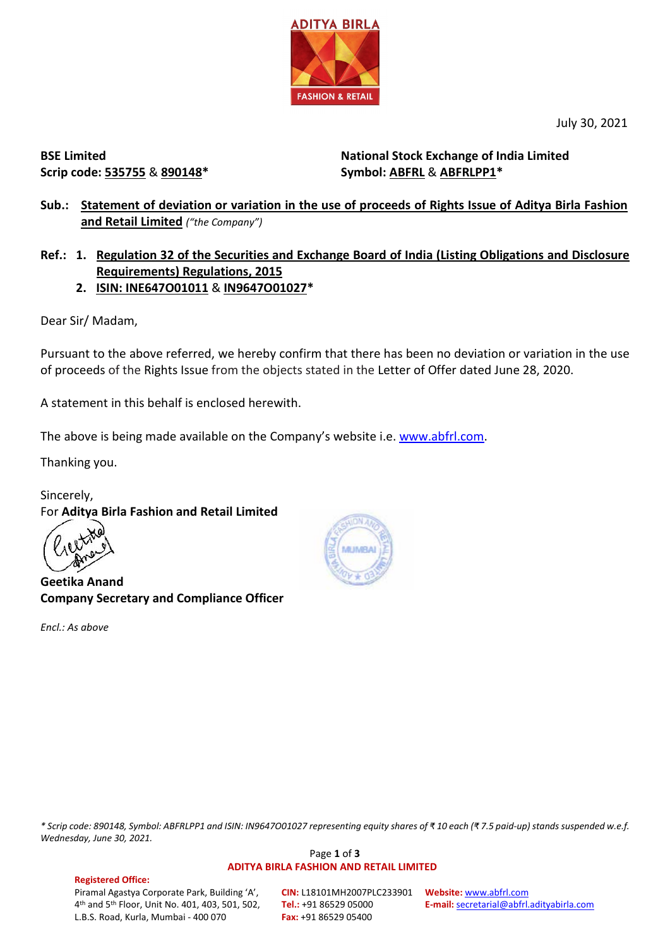

July 30, 2021

**BSE Limited Scrip code: 535755** & **890148\***

**National Stock Exchange of India Limited Symbol: ABFRL** & **ABFRLPP1\***

# **Sub.: Statement of deviation or variation in the use of proceeds of Rights Issue of Aditya Birla Fashion and Retail Limited** *("the Company")*

**Ref.: 1. Regulation 32 of the Securities and Exchange Board of India (Listing Obligations and Disclosure Requirements) Regulations, 2015**

**2. ISIN: INE647O01011** & **IN9647O01027\***

Dear Sir/ Madam,

Pursuant to the above referred, we hereby confirm that there has been no deviation or variation in the use of proceeds of the Rights Issue from the objects stated in the Letter of Offer dated June 28, 2020.

A statement in this behalf is enclosed herewith.

The above is being made available on the Company's website i.e. [www.abfrl.com.](http://www.abfrl.com/)

Thanking you.

Sincerely, For **Aditya Birla Fashion and Retail Limited**

**Geetika Anand Company Secretary and Compliance Officer**

*Encl.: As above*



*\* Scrip code: 890148, Symbol: ABFRLPP1 and ISIN: IN9647O01027 representing equity shares of ₹ 10 each (₹ 7.5 paid-up) stands suspended w.e.f. Wednesday, June 30, 2021.*

### Page **1** of **3 ADITYA BIRLA FASHION AND RETAIL LIMITED**

#### **Registered Office:**  Piramal Agastya Corporate Park, Building 'A', 4th and 5th Floor, Unit No. 401, 403, 501, 502, L.B.S. Road, Kurla, Mumbai - 400 070

**CIN:** L18101MH2007PLC233901 **Website:** [www.abfrl.com](http://www.abfrl.com/) **Tel.:** +91 86529 05000 **Fax:** +91 86529 05400

**E-mail:** [secretarial@abfrl.adityabirla.com](mailto:secretarial@abfrl.adityabirla.com)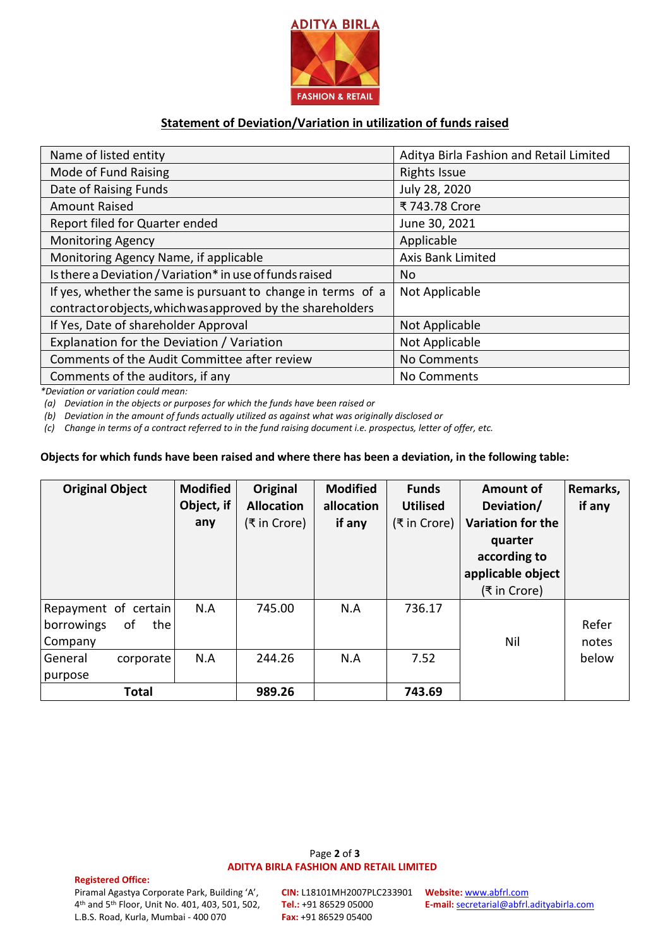

## **Statement of Deviation/Variation in utilization of funds raised**

| Name of listed entity                                        | Aditya Birla Fashion and Retail Limited |  |  |
|--------------------------------------------------------------|-----------------------------------------|--|--|
| Mode of Fund Raising                                         | <b>Rights Issue</b>                     |  |  |
| Date of Raising Funds                                        | July 28, 2020                           |  |  |
| <b>Amount Raised</b>                                         | ₹ 743.78 Crore                          |  |  |
| Report filed for Quarter ended                               | June 30, 2021                           |  |  |
| <b>Monitoring Agency</b>                                     | Applicable                              |  |  |
| Monitoring Agency Name, if applicable                        | <b>Axis Bank Limited</b>                |  |  |
| Is there a Deviation / Variation* in use of funds raised     | No.                                     |  |  |
| If yes, whether the same is pursuant to change in terms of a | Not Applicable                          |  |  |
| contractorobjects, which was approved by the shareholders    |                                         |  |  |
| If Yes, Date of shareholder Approval                         | Not Applicable                          |  |  |
| Explanation for the Deviation / Variation                    | Not Applicable                          |  |  |
| Comments of the Audit Committee after review                 | No Comments                             |  |  |
| Comments of the auditors, if any                             | No Comments                             |  |  |

*\*Deviation or variation could mean:*

*(a) Deviation in the objects or purposes for which the funds have been raised or*

*(b) Deviation in the amount of funds actually utilized as against what was originally disclosed or*

*(c) Change in terms of a contract referred to in the fund raising document i.e. prospectus, letter of offer, etc.*

### **Objects for which funds have been raised and where there has been a deviation, in the following table:**

| <b>Original Object</b>                                      | <b>Modified</b><br>Object, if | Original<br><b>Allocation</b> | <b>Modified</b><br>allocation | <b>Funds</b><br><b>Utilised</b> | Amount of<br>Deviation/                                                                  | Remarks,<br>if any |
|-------------------------------------------------------------|-------------------------------|-------------------------------|-------------------------------|---------------------------------|------------------------------------------------------------------------------------------|--------------------|
|                                                             | any                           | (₹ in Crore)                  | if any                        | (₹ in Crore)                    | <b>Variation for the</b><br>quarter<br>according to<br>applicable object<br>(₹ in Crore) |                    |
| Repayment of certain<br>of<br>borrowings<br>thel<br>Company | N.A                           | 745.00                        | N.A                           | 736.17                          | Nil                                                                                      | Refer<br>notes     |
| General<br>corporate<br>purpose                             | N.A                           | 244.26                        | N.A                           | 7.52                            |                                                                                          | below              |
| <b>Total</b>                                                |                               | 989.26                        |                               | 743.69                          |                                                                                          |                    |

Page **2** of **3 ADITYA BIRLA FASHION AND RETAIL LIMITED**

#### **Registered Office:**